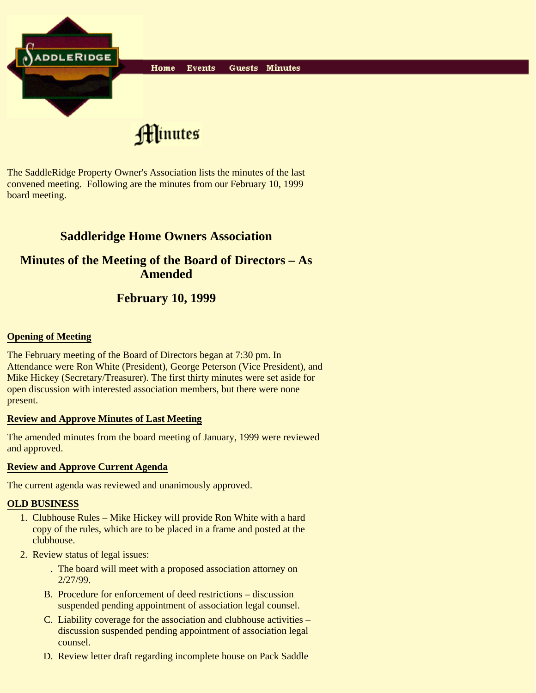![](_page_0_Picture_0.jpeg)

The SaddleRidge Property Owner's Association lists the minutes of the last convened meeting. Following are the minutes from our February 10, 1999 board meeting.

# **Saddleridge Home Owners Association**

## **Minutes of the Meeting of the Board of Directors – As Amended**

## **February 10, 1999**

#### **Opening of Meeting**

The February meeting of the Board of Directors began at 7:30 pm. In Attendance were Ron White (President), George Peterson (Vice President), and Mike Hickey (Secretary/Treasurer). The first thirty minutes were set aside for open discussion with interested association members, but there were none present.

#### **Review and Approve Minutes of Last Meeting**

The amended minutes from the board meeting of January, 1999 were reviewed and approved.

#### **Review and Approve Current Agenda**

The current agenda was reviewed and unanimously approved.

#### **OLD BUSINESS**

- Clubhouse Rules Mike Hickey will provide Ron White with a hard 1. copy of the rules, which are to be placed in a frame and posted at the clubhouse.
- 2. Review status of legal issues:
	- The board will meet with a proposed association attorney on . 2/27/99.
	- B. Procedure for enforcement of deed restrictions discussion suspended pending appointment of association legal counsel.
	- C. Liability coverage for the association and clubhouse activities discussion suspended pending appointment of association legal counsel.
	- D. Review letter draft regarding incomplete house on Pack Saddle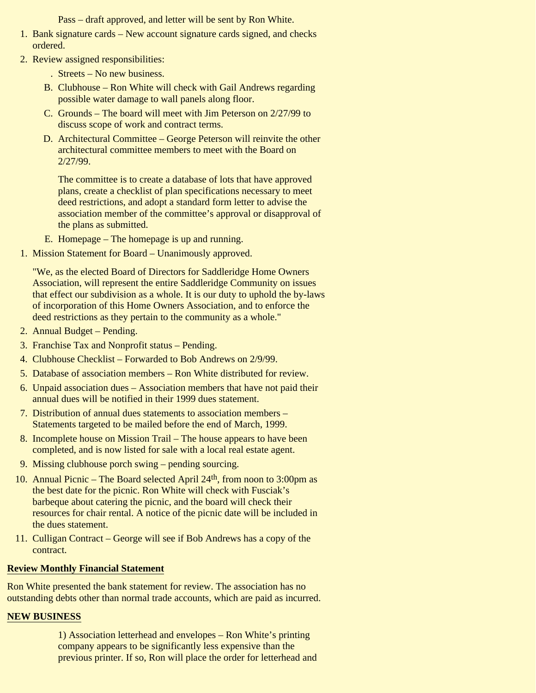Pass – draft approved, and letter will be sent by Ron White.

- 1. Bank signature cards New account signature cards signed, and checks ordered.
- 2. Review assigned responsibilities:
	- . Streets No new business.
	- B. Clubhouse Ron White will check with Gail Andrews regarding possible water damage to wall panels along floor.
	- C. Grounds The board will meet with Jim Peterson on 2/27/99 to discuss scope of work and contract terms.
	- D. Architectural Committee George Peterson will reinvite the other architectural committee members to meet with the Board on 2/27/99.

The committee is to create a database of lots that have approved plans, create a checklist of plan specifications necessary to meet deed restrictions, and adopt a standard form letter to advise the association member of the committee's approval or disapproval of the plans as submitted.

- E. Homepage The homepage is up and running.
- 1. Mission Statement for Board Unanimously approved.

"We, as the elected Board of Directors for Saddleridge Home Owners Association, will represent the entire Saddleridge Community on issues that effect our subdivision as a whole. It is our duty to uphold the by-laws of incorporation of this Home Owners Association, and to enforce the deed restrictions as they pertain to the community as a whole."

- 2. Annual Budget Pending.
- 3. Franchise Tax and Nonprofit status Pending.
- 4. Clubhouse Checklist Forwarded to Bob Andrews on 2/9/99.
- 5. Database of association members Ron White distributed for review.
- Unpaid association dues Association members that have not paid their 6. annual dues will be notified in their 1999 dues statement.
- 7. Distribution of annual dues statements to association members -Statements targeted to be mailed before the end of March, 1999.
- 8. Incomplete house on Mission Trail The house appears to have been completed, and is now listed for sale with a local real estate agent.
- 9. Missing clubhouse porch swing pending sourcing.
- 10. Annual Picnic The Board selected April 24<sup>th</sup>, from noon to 3:00pm as the best date for the picnic. Ron White will check with Fusciak's barbeque about catering the picnic, and the board will check their resources for chair rental. A notice of the picnic date will be included in the dues statement.
- 11. Culligan Contract George will see if Bob Andrews has a copy of the contract.

#### **Review Monthly Financial Statement**

Ron White presented the bank statement for review. The association has no outstanding debts other than normal trade accounts, which are paid as incurred.

### **NEW BUSINESS**

1) Association letterhead and envelopes – Ron White's printing company appears to be significantly less expensive than the previous printer. If so, Ron will place the order for letterhead and